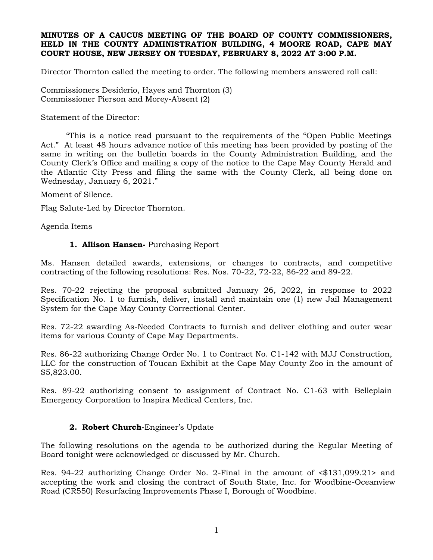### **MINUTES OF A CAUCUS MEETING OF THE BOARD OF COUNTY COMMISSIONERS, HELD IN THE COUNTY ADMINISTRATION BUILDING, 4 MOORE ROAD, CAPE MAY COURT HOUSE, NEW JERSEY ON TUESDAY, FEBRUARY 8, 2022 AT 3:00 P.M.**

Director Thornton called the meeting to order. The following members answered roll call:

Commissioners Desiderio, Hayes and Thornton (3) Commissioner Pierson and Morey-Absent (2)

Statement of the Director:

"This is a notice read pursuant to the requirements of the "Open Public Meetings Act." At least 48 hours advance notice of this meeting has been provided by posting of the same in writing on the bulletin boards in the County Administration Building, and the County Clerk's Office and mailing a copy of the notice to the Cape May County Herald and the Atlantic City Press and filing the same with the County Clerk, all being done on Wednesday, January 6, 2021."

Moment of Silence.

Flag Salute-Led by Director Thornton.

Agenda Items

### **1. Allison Hansen-** Purchasing Report

Ms. Hansen detailed awards, extensions, or changes to contracts, and competitive contracting of the following resolutions: Res. Nos. 70-22, 72-22, 86-22 and 89-22.

Res. 70-22 rejecting the proposal submitted January 26, 2022, in response to 2022 Specification No. 1 to furnish, deliver, install and maintain one (1) new Jail Management System for the Cape May County Correctional Center.

Res. 72-22 awarding As-Needed Contracts to furnish and deliver clothing and outer wear items for various County of Cape May Departments.

Res. 86-22 authorizing Change Order No. 1 to Contract No. C1-142 with MJJ Construction, LLC for the construction of Toucan Exhibit at the Cape May County Zoo in the amount of \$5,823.00.

Res. 89-22 authorizing consent to assignment of Contract No. C1-63 with Belleplain Emergency Corporation to Inspira Medical Centers, Inc.

# **2. Robert Church-**Engineer's Update

The following resolutions on the agenda to be authorized during the Regular Meeting of Board tonight were acknowledged or discussed by Mr. Church.

Res. 94-22 authorizing Change Order No. 2-Final in the amount of <\$131,099.21> and accepting the work and closing the contract of South State, Inc. for Woodbine-Oceanview Road (CR550) Resurfacing Improvements Phase I, Borough of Woodbine.